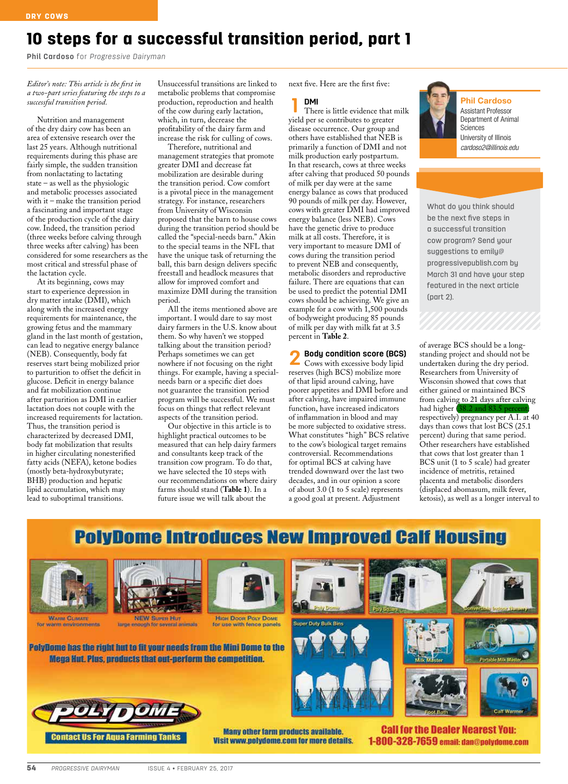# 10 steps for a successful transition period, part 1

**Phil Cardoso** for *Progressive Dairyman*

## *Editor's note: This article is the first in a two-part series featuring the steps to a successful transition period.*

Nutrition and management of the dry dairy cow has been an area of extensive research over the last 25 years. Although nutritional requirements during this phase are fairly simple, the sudden transition from nonlactating to lactating state – as well as the physiologic and metabolic processes associated with it – make the transition period a fascinating and important stage of the production cycle of the dairy cow. Indeed, the transition period (three weeks before calving through three weeks after calving) has been considered for some researchers as the most critical and stressful phase of the lactation cycle.

At its beginning, cows may start to experience depression in dry matter intake (DMI), which along with the increased energy requirements for maintenance, the growing fetus and the mammary gland in the last month of gestation, can lead to negative energy balance (NEB). Consequently, body fat reserves start being mobilized prior to parturition to offset the deficit in glucose. Deficit in energy balance and fat mobilization continue after parturition as DMI in earlier lactation does not couple with the increased requirements for lactation. Thus, the transition period is characterized by decreased DMI, body fat mobilization that results in higher circulating nonesterified fatty acids (NEFA), ketone bodies (mostly beta-hydroxybutyrate; BHB) production and hepatic lipid accumulation, which may lead to suboptimal transitions.

Unsuccessful transitions are linked to metabolic problems that compromise production, reproduction and health of the cow during early lactation, which, in turn, decrease the profitability of the dairy farm and increase the risk for culling of cows.

Therefore, nutritional and management strategies that promote greater DMI and decrease fat mobilization are desirable during the transition period. Cow comfort is a pivotal piece in the management strategy. For instance, researchers from University of Wisconsin proposed that the barn to house cows during the transition period should be called the "special-needs barn." Akin to the special teams in the NFL that have the unique task of returning the ball, this barn design delivers specific freestall and headlock measures that allow for improved comfort and maximize DMI during the transition period.

All the items mentioned above are important. I would dare to say most dairy farmers in the U.S. know about them. So why haven't we stopped talking about the transition period? Perhaps sometimes we can get nowhere if not focusing on the right things. For example, having a specialneeds barn or a specific diet does not guarantee the transition period program will be successful. We must focus on things that reflect relevant aspects of the transition period.

Our objective in this article is to highlight practical outcomes to be measured that can help dairy farmers and consultants keep track of the transition cow program. To do that, we have selected the 10 steps with our recommendations on where dairy farms should stand (**Table 1**). In a future issue we will talk about the

next five. Here are the first five:

**1 DMI** There is little evidence that milk yield per se contributes to greater disease occurrence. Our group and others have established that NEB is primarily a function of DMI and not milk production early postpartum. In that research, cows at three weeks after calving that produced 50 pounds of milk per day were at the same energy balance as cows that produced 90 pounds of milk per day. However, cows with greater DMI had improved energy balance (less NEB). Cows have the genetic drive to produce milk at all costs. Therefore, it is very important to measure DMI of cows during the transition period to prevent NEB and consequently, metabolic disorders and reproductive failure. There are equations that can be used to predict the potential DMI cows should be achieving. We give an example for a cow with 1,500 pounds of bodyweight producing 85 pounds of milk per day with milk fat at 3.5 percent in **Table 2**.

**2 Body condition score (BCS)** Cows with excessive body lipid reserves (high BCS) mobilize more of that lipid around calving, have poorer appetites and DMI before and after calving, have impaired immune function, have increased indicators of inflammation in blood and may be more subjected to oxidative stress. What constitutes "high" BCS relative to the cow's biological target remains controversial. Recommendations for optimal BCS at calving have trended downward over the last two decades, and in our opinion a score of about 3.0 (1 to 5 scale) represents a good goal at present. Adjustment



Phil Cardoso Assistant Professor Department of Animal Sciences University of Illinois *cardoso2@illinois.edu*

What do you think should be the next five steps in a successful transition cow program? Send your suggestions to emily@ progressivepublish.com by March 31 and have your step featured in the next article (part 2).

of average BCS should be a longstanding project and should not be undertaken during the dry period. Researchers from University of Wisconsin showed that cows that either gained or maintained BCS from calving to 21 days after calving had higher  $(38.2 \text{ and } 83.5 \text{ p})$ respectively) pregnancy per A.I. at 40 days than cows that lost BCS (25.1 percent) during that same period. Other researchers have established that cows that lost greater than 1 BCS unit (1 to 5 scale) had greater incidence of metritis, retained placenta and metabolic disorders (displaced abomasum, milk fever, ketosis), as well as a longer interval to

**PolyDome Introduces New Improved Calf Housing** 



for warm environments





**High Doon Poly Dome**<br>for use with fence panels

 $\sqrt{2}$ *17.3*

or several animals



**Many other farm products available.** Visit www.polydome.com for more details.

**Call for the Dealer Nearest You:** 1-800-328-7659 email: dan@polydome.com